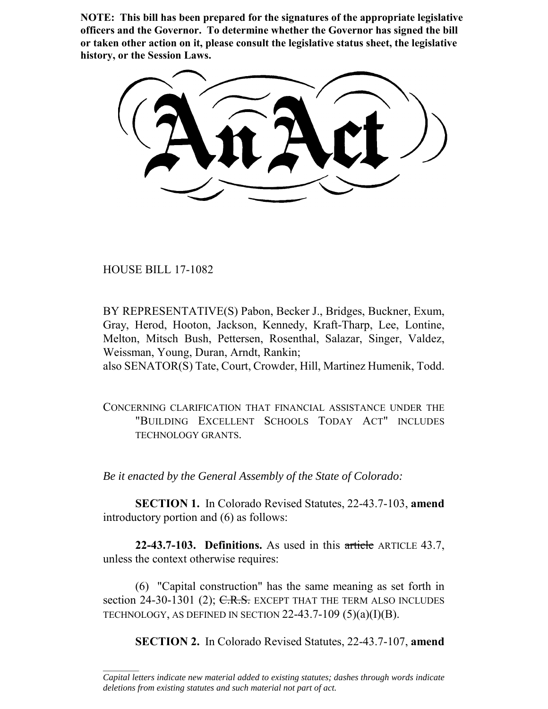**NOTE: This bill has been prepared for the signatures of the appropriate legislative officers and the Governor. To determine whether the Governor has signed the bill or taken other action on it, please consult the legislative status sheet, the legislative history, or the Session Laws.**

HOUSE BILL 17-1082

 $\frac{1}{2}$ 

BY REPRESENTATIVE(S) Pabon, Becker J., Bridges, Buckner, Exum, Gray, Herod, Hooton, Jackson, Kennedy, Kraft-Tharp, Lee, Lontine, Melton, Mitsch Bush, Pettersen, Rosenthal, Salazar, Singer, Valdez, Weissman, Young, Duran, Arndt, Rankin; also SENATOR(S) Tate, Court, Crowder, Hill, Martinez Humenik, Todd.

CONCERNING CLARIFICATION THAT FINANCIAL ASSISTANCE UNDER THE "BUILDING EXCELLENT SCHOOLS TODAY ACT" INCLUDES TECHNOLOGY GRANTS.

*Be it enacted by the General Assembly of the State of Colorado:*

**SECTION 1.** In Colorado Revised Statutes, 22-43.7-103, **amend** introductory portion and (6) as follows:

**22-43.7-103. Definitions.** As used in this article ARTICLE 43.7, unless the context otherwise requires:

(6) "Capital construction" has the same meaning as set forth in section 24-30-1301 (2);  $C.R.S.$  EXCEPT THAT THE TERM ALSO INCLUDES TECHNOLOGY, AS DEFINED IN SECTION  $22-43.7-109$  (5)(a)(I)(B).

**SECTION 2.** In Colorado Revised Statutes, 22-43.7-107, **amend**

*Capital letters indicate new material added to existing statutes; dashes through words indicate deletions from existing statutes and such material not part of act.*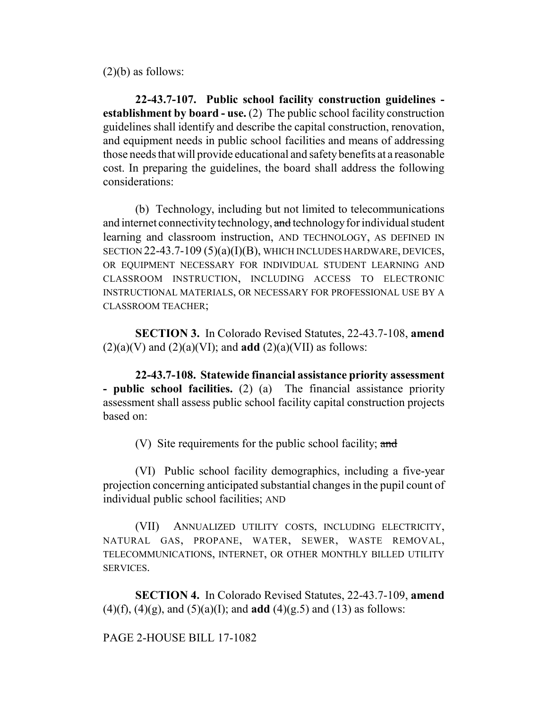$(2)(b)$  as follows:

**22-43.7-107. Public school facility construction guidelines establishment by board - use.** (2) The public school facility construction guidelines shall identify and describe the capital construction, renovation, and equipment needs in public school facilities and means of addressing those needs that will provide educational and safety benefits at a reasonable cost. In preparing the guidelines, the board shall address the following considerations:

(b) Technology, including but not limited to telecommunications and internet connectivity technology, and technology for individual student learning and classroom instruction, AND TECHNOLOGY, AS DEFINED IN SECTION 22-43.7-109 (5)(a)(I)(B), WHICH INCLUDES HARDWARE, DEVICES, OR EQUIPMENT NECESSARY FOR INDIVIDUAL STUDENT LEARNING AND CLASSROOM INSTRUCTION, INCLUDING ACCESS TO ELECTRONIC INSTRUCTIONAL MATERIALS, OR NECESSARY FOR PROFESSIONAL USE BY A CLASSROOM TEACHER;

**SECTION 3.** In Colorado Revised Statutes, 22-43.7-108, **amend**  $(2)(a)(V)$  and  $(2)(a)(VI)$ ; and **add**  $(2)(a)(VII)$  as follows:

**22-43.7-108. Statewide financial assistance priority assessment - public school facilities.** (2) (a) The financial assistance priority assessment shall assess public school facility capital construction projects based on:

(V) Site requirements for the public school facility; and

(VI) Public school facility demographics, including a five-year projection concerning anticipated substantial changes in the pupil count of individual public school facilities; AND

(VII) ANNUALIZED UTILITY COSTS, INCLUDING ELECTRICITY, NATURAL GAS, PROPANE, WATER, SEWER, WASTE REMOVAL, TELECOMMUNICATIONS, INTERNET, OR OTHER MONTHLY BILLED UTILITY SERVICES.

**SECTION 4.** In Colorado Revised Statutes, 22-43.7-109, **amend** (4)(f), (4)(g), and (5)(a)(I); and **add** (4)(g.5) and (13) as follows:

PAGE 2-HOUSE BILL 17-1082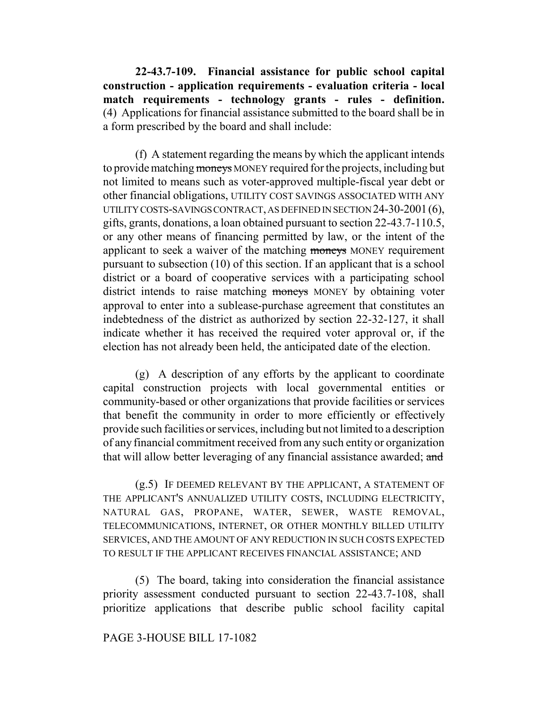**22-43.7-109. Financial assistance for public school capital construction - application requirements - evaluation criteria - local match requirements - technology grants - rules - definition.** (4) Applications for financial assistance submitted to the board shall be in a form prescribed by the board and shall include:

(f) A statement regarding the means by which the applicant intends to provide matching moneys MONEY required for the projects, including but not limited to means such as voter-approved multiple-fiscal year debt or other financial obligations, UTILITY COST SAVINGS ASSOCIATED WITH ANY UTILITY COSTS-SAVINGS CONTRACT, AS DEFINED IN SECTION 24-30-2001(6), gifts, grants, donations, a loan obtained pursuant to section 22-43.7-110.5, or any other means of financing permitted by law, or the intent of the applicant to seek a waiver of the matching moneys MONEY requirement pursuant to subsection (10) of this section. If an applicant that is a school district or a board of cooperative services with a participating school district intends to raise matching moneys MONEY by obtaining voter approval to enter into a sublease-purchase agreement that constitutes an indebtedness of the district as authorized by section 22-32-127, it shall indicate whether it has received the required voter approval or, if the election has not already been held, the anticipated date of the election.

(g) A description of any efforts by the applicant to coordinate capital construction projects with local governmental entities or community-based or other organizations that provide facilities or services that benefit the community in order to more efficiently or effectively provide such facilities or services, including but not limited to a description of any financial commitment received from any such entity or organization that will allow better leveraging of any financial assistance awarded; and

(g.5) IF DEEMED RELEVANT BY THE APPLICANT, A STATEMENT OF THE APPLICANT'S ANNUALIZED UTILITY COSTS, INCLUDING ELECTRICITY, NATURAL GAS, PROPANE, WATER, SEWER, WASTE REMOVAL, TELECOMMUNICATIONS, INTERNET, OR OTHER MONTHLY BILLED UTILITY SERVICES, AND THE AMOUNT OF ANY REDUCTION IN SUCH COSTS EXPECTED TO RESULT IF THE APPLICANT RECEIVES FINANCIAL ASSISTANCE; AND

(5) The board, taking into consideration the financial assistance priority assessment conducted pursuant to section 22-43.7-108, shall prioritize applications that describe public school facility capital

## PAGE 3-HOUSE BILL 17-1082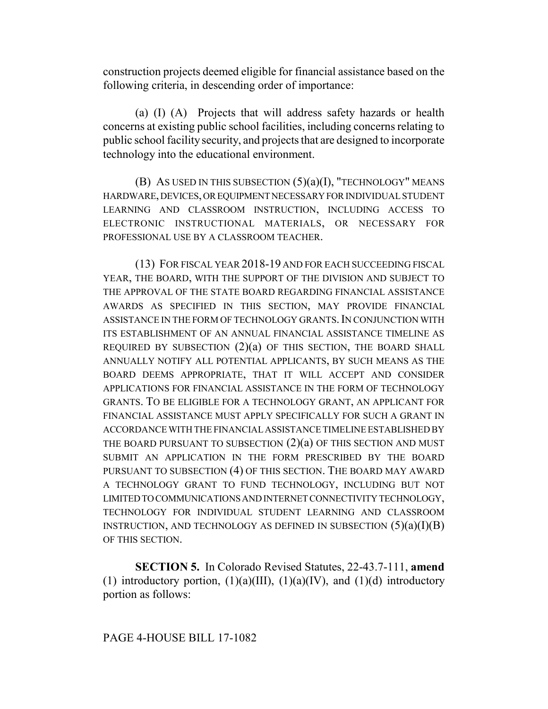construction projects deemed eligible for financial assistance based on the following criteria, in descending order of importance:

(a) (I) (A) Projects that will address safety hazards or health concerns at existing public school facilities, including concerns relating to public school facility security, and projects that are designed to incorporate technology into the educational environment.

(B) AS USED IN THIS SUBSECTION  $(5)(a)(I)$ , "TECHNOLOGY" MEANS HARDWARE, DEVICES, OR EQUIPMENT NECESSARY FOR INDIVIDUAL STUDENT LEARNING AND CLASSROOM INSTRUCTION, INCLUDING ACCESS TO ELECTRONIC INSTRUCTIONAL MATERIALS, OR NECESSARY FOR PROFESSIONAL USE BY A CLASSROOM TEACHER.

(13) FOR FISCAL YEAR 2018-19 AND FOR EACH SUCCEEDING FISCAL YEAR, THE BOARD, WITH THE SUPPORT OF THE DIVISION AND SUBJECT TO THE APPROVAL OF THE STATE BOARD REGARDING FINANCIAL ASSISTANCE AWARDS AS SPECIFIED IN THIS SECTION, MAY PROVIDE FINANCIAL ASSISTANCE IN THE FORM OF TECHNOLOGY GRANTS.IN CONJUNCTION WITH ITS ESTABLISHMENT OF AN ANNUAL FINANCIAL ASSISTANCE TIMELINE AS REQUIRED BY SUBSECTION  $(2)(a)$  OF THIS SECTION, THE BOARD SHALL ANNUALLY NOTIFY ALL POTENTIAL APPLICANTS, BY SUCH MEANS AS THE BOARD DEEMS APPROPRIATE, THAT IT WILL ACCEPT AND CONSIDER APPLICATIONS FOR FINANCIAL ASSISTANCE IN THE FORM OF TECHNOLOGY GRANTS. TO BE ELIGIBLE FOR A TECHNOLOGY GRANT, AN APPLICANT FOR FINANCIAL ASSISTANCE MUST APPLY SPECIFICALLY FOR SUCH A GRANT IN ACCORDANCE WITH THE FINANCIAL ASSISTANCE TIMELINE ESTABLISHED BY THE BOARD PURSUANT TO SUBSECTION  $(2)(a)$  OF THIS SECTION AND MUST SUBMIT AN APPLICATION IN THE FORM PRESCRIBED BY THE BOARD PURSUANT TO SUBSECTION (4) OF THIS SECTION. THE BOARD MAY AWARD A TECHNOLOGY GRANT TO FUND TECHNOLOGY, INCLUDING BUT NOT LIMITED TO COMMUNICATIONS AND INTERNET CONNECTIVITY TECHNOLOGY, TECHNOLOGY FOR INDIVIDUAL STUDENT LEARNING AND CLASSROOM INSTRUCTION, AND TECHNOLOGY AS DEFINED IN SUBSECTION  $(5)(a)(I)(B)$ OF THIS SECTION.

**SECTION 5.** In Colorado Revised Statutes, 22-43.7-111, **amend** (1) introductory portion,  $(1)(a)(III)$ ,  $(1)(a)(IV)$ , and  $(1)(d)$  introductory portion as follows: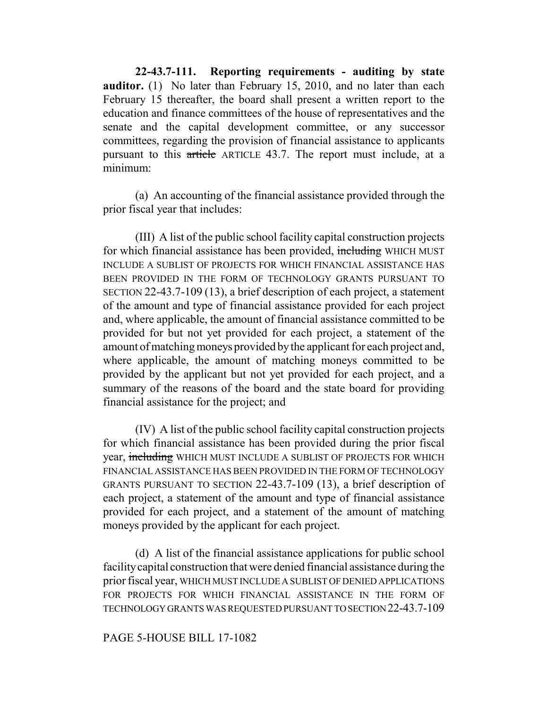**22-43.7-111. Reporting requirements - auditing by state auditor.** (1) No later than February 15, 2010, and no later than each February 15 thereafter, the board shall present a written report to the education and finance committees of the house of representatives and the senate and the capital development committee, or any successor committees, regarding the provision of financial assistance to applicants pursuant to this article ARTICLE 43.7. The report must include, at a minimum:

(a) An accounting of the financial assistance provided through the prior fiscal year that includes:

(III) A list of the public school facility capital construction projects for which financial assistance has been provided, including WHICH MUST INCLUDE A SUBLIST OF PROJECTS FOR WHICH FINANCIAL ASSISTANCE HAS BEEN PROVIDED IN THE FORM OF TECHNOLOGY GRANTS PURSUANT TO SECTION 22-43.7-109 (13), a brief description of each project, a statement of the amount and type of financial assistance provided for each project and, where applicable, the amount of financial assistance committed to be provided for but not yet provided for each project, a statement of the amount of matching moneys provided by the applicant for each project and, where applicable, the amount of matching moneys committed to be provided by the applicant but not yet provided for each project, and a summary of the reasons of the board and the state board for providing financial assistance for the project; and

(IV) A list of the public school facility capital construction projects for which financial assistance has been provided during the prior fiscal year, including WHICH MUST INCLUDE A SUBLIST OF PROJECTS FOR WHICH FINANCIAL ASSISTANCE HAS BEEN PROVIDED IN THE FORM OF TECHNOLOGY GRANTS PURSUANT TO SECTION 22-43.7-109 (13), a brief description of each project, a statement of the amount and type of financial assistance provided for each project, and a statement of the amount of matching moneys provided by the applicant for each project.

(d) A list of the financial assistance applications for public school facility capital construction that were denied financial assistance during the prior fiscal year, WHICH MUST INCLUDE A SUBLIST OF DENIED APPLICATIONS FOR PROJECTS FOR WHICH FINANCIAL ASSISTANCE IN THE FORM OF TECHNOLOGY GRANTS WAS REQUESTED PURSUANT TO SECTION 22-43.7-109

## PAGE 5-HOUSE BILL 17-1082